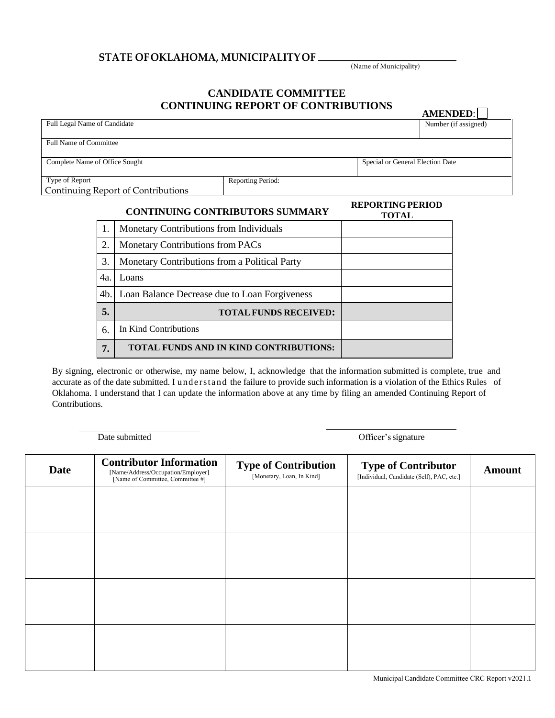## **STATE OFOKLAHOMA, MUNICIPALITYOF**

(Name of Municipality)

**AMENDED**:

## **CANDIDATE COMMITTEE CONTINUING REPORT OF CONTRIBUTIONS**

| Full Legal Name of Candidate           |                   |                                         | Number (if assigned) |  |
|----------------------------------------|-------------------|-----------------------------------------|----------------------|--|
| <b>Full Name of Committee</b>          |                   |                                         |                      |  |
| Complete Name of Office Sought         |                   | Special or General Election Date        |                      |  |
| Type of Report                         | Reporting Period: |                                         |                      |  |
| Continuing Report of Contributions     |                   |                                         |                      |  |
| <b>CONTINUING CONTRIBUTORS SUMMARY</b> |                   | <b>REPORTING PERIOD</b><br><b>TOTAL</b> |                      |  |

|     |                                               | TOTAL |
|-----|-----------------------------------------------|-------|
|     | Monetary Contributions from Individuals       |       |
| 2.  | Monetary Contributions from PACs              |       |
| 3.  | Monetary Contributions from a Political Party |       |
| 4a. | Loans                                         |       |
| 4b. | Loan Balance Decrease due to Loan Forgiveness |       |
| 5.  | <b>TOTAL FUNDS RECEIVED:</b>                  |       |
| 6.  | In Kind Contributions                         |       |
| 7.  | <b>TOTAL FUNDS AND IN KIND CONTRIBUTIONS:</b> |       |

By signing, electronic or otherwise, my name below, I, acknowledge that the information submitted is complete, true and accurate as of the date submitted. I und erstand the failure to provide such information is a violation of the Ethics Rules of Oklahoma. I understand that I can update the information above at any time by filing an amended Continuing Report of Contributions.

Date submitted Officer's signature

| <b>Date</b> | <b>Contributor Information</b><br>[Name/Address/Occupation/Employer]<br>[Name of Committee, Committee #] | <b>Type of Contribution</b><br>[Monetary, Loan, In Kind] | <b>Type of Contributor</b><br>[Individual, Candidate (Self), PAC, etc.] | <b>Amount</b> |
|-------------|----------------------------------------------------------------------------------------------------------|----------------------------------------------------------|-------------------------------------------------------------------------|---------------|
|             |                                                                                                          |                                                          |                                                                         |               |
|             |                                                                                                          |                                                          |                                                                         |               |
|             |                                                                                                          |                                                          |                                                                         |               |
|             |                                                                                                          |                                                          |                                                                         |               |
|             |                                                                                                          |                                                          |                                                                         |               |